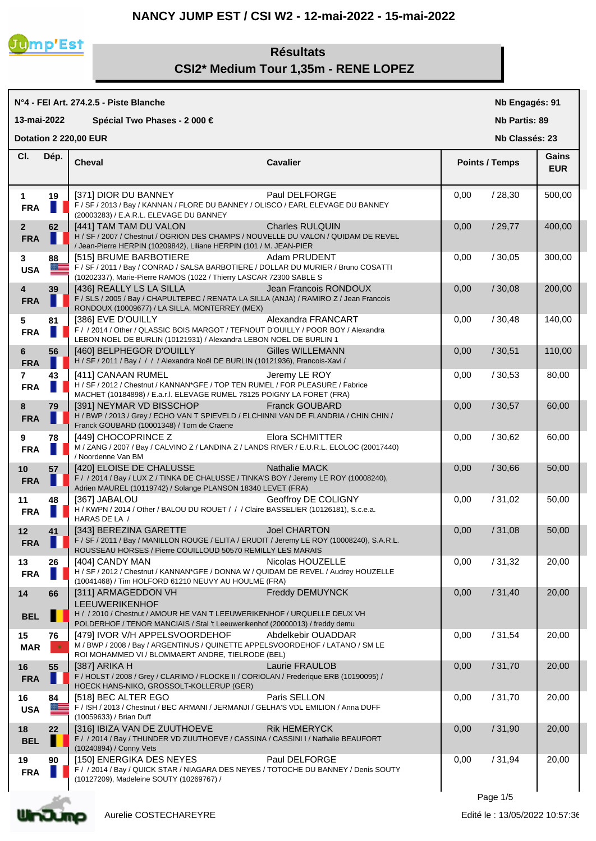## **NANCY JUMP EST / CSI W2 - 12-mai-2022 - 15-mai-2022**



# **Résultats CSI2\* Medium Tour 1,35m - RENE LOPEZ**

| N°4 - FEI Art. 274.2.5 - Piste Blanche         |          |                                                                                                                                                                                         |                         | Nb Engagés: 91       |                       |                     |  |
|------------------------------------------------|----------|-----------------------------------------------------------------------------------------------------------------------------------------------------------------------------------------|-------------------------|----------------------|-----------------------|---------------------|--|
| 13-mai-2022<br>Spécial Two Phases - 2 000 €    |          |                                                                                                                                                                                         |                         | <b>Nb Partis: 89</b> |                       |                     |  |
| <b>Dotation 2 220,00 EUR</b><br>Nb Classés: 23 |          |                                                                                                                                                                                         |                         |                      |                       |                     |  |
| CI.                                            | Dép.     | <b>Cheval</b>                                                                                                                                                                           | <b>Cavalier</b>         |                      | <b>Points / Temps</b> | Gains<br><b>EUR</b> |  |
| $\mathbf 1$<br><b>FRA</b>                      | 19       | [371] DIOR DU BANNEY<br>F / SF / 2013 / Bay / KANNAN / FLORE DU BANNEY / OLISCO / EARL ELEVAGE DU BANNEY<br>(20003283) / E.A.R.L. ELEVAGE DU BANNEY                                     | Paul DELFORGE           | 0,00                 | /28,30                | 500,00              |  |
| 2 <sup>2</sup><br><b>FRA</b>                   | 62       | [441] TAM TAM DU VALON<br>H / SF / 2007 / Chestnut / OGRION DES CHAMPS / NOUVELLE DU VALON / QUIDAM DE REVEL<br>/ Jean-Pierre HERPIN (10209842), Liliane HERPIN (101 / M. JEAN-PIER     | <b>Charles RULQUIN</b>  | 0,00                 | /29,77                | 400,00              |  |
| 3<br><b>USA</b>                                | 88<br>≈≡ | [515] BRUME BARBOTIERE<br>F / SF / 2011 / Bay / CONRAD / SALSA BARBOTIERE / DOLLAR DU MURIER / Bruno COSATTI<br>(10202337), Marie-Pierre RAMOS (1022 / Thierry LASCAR 72300 SABLE S     | Adam PRUDENT            | 0,00                 | /30,05                | 300,00              |  |
| 4<br><b>FRA</b>                                | 39       | [436] REALLY LS LA SILLA<br>F / SLS / 2005 / Bay / CHAPULTEPEC / RENATA LA SILLA (ANJA) / RAMIRO Z / Jean Francois<br>RONDOUX (10009677) / LA SILLA, MONTERREY (MEX)                    | Jean Francois RONDOUX   | 0,00                 | /30,08                | 200,00              |  |
| 5<br><b>FRA</b>                                | 81       | [386] EVE D'OUILLY<br>F / / 2014 / Other / QLASSIC BOIS MARGOT / TEFNOUT D'OUILLY / POOR BOY / Alexandra<br>LEBON NOEL DE BURLIN (10121931) / Alexandra LEBON NOEL DE BURLIN 1          | Alexandra FRANCART      | 0,00                 | /30,48                | 140,00              |  |
| 6<br><b>FRA</b>                                | 56       | [460] BELPHEGOR D'OUILLY<br>H / SF / 2011 / Bay / / / / Alexandra Noël DE BURLIN (10121936), Francois-Xavi /                                                                            | <b>Gilles WILLEMANN</b> | 0,00                 | /30,51                | 110,00              |  |
| $\overline{7}$<br><b>FRA</b>                   | 43       | [411] CANAAN RUMEL<br>H / SF / 2012 / Chestnut / KANNAN*GFE / TOP TEN RUMEL / FOR PLEASURE / Fabrice<br>MACHET (10184898) / E.a.r.I. ELEVAGE RUMEL 78125 POIGNY LA FORET (FRA)          | Jeremy LE ROY           | 0,00                 | /30,53                | 80,00               |  |
| 8<br><b>FRA</b>                                | 79       | [391] NEYMAR VD BISSCHOP [1391] NEYMAR VD BISSCHOP<br>H / BWP / 2013 / Grey / ECHO VAN T SPIEVELD / ELCHINNI VAN DE FLANDRIA / CHIN CHIN /<br>Franck GOUBARD (10001348) / Tom de Craene | <b>Franck GOUBARD</b>   | 0,00                 | /30,57                | 60,00               |  |
| 9<br><b>FRA</b>                                | 78       | [449] CHOCOPRINCE Z<br>M / ZANG / 2007 / Bay / CALVINO Z / LANDINA Z / LANDS RIVER / E.U.R.L. ELOLOC (20017440)<br>/ Noordenne Van BM                                                   | Elora SCHMITTER         | 0,00                 | /30,62                | 60,00               |  |
| 10 <sup>1</sup><br><b>FRA</b>                  | 57       | [420] ELOISE DE CHALUSSE<br>F / / 2014 / Bay / LUX Z / TINKA DE CHALUSSE / TINKA'S BOY / Jeremy LE ROY (10008240),<br>Adrien MAUREL (10119742) / Solange PLANSON 18340 LEVET (FRA)      | Nathalie MACK           | 0,00                 | /30,66                | 50,00               |  |
| 11<br><b>FRA</b>                               | 48       | [367] JABALOU<br>H / KWPN / 2014 / Other / BALOU DU ROUET / / / Claire BASSELIER (10126181), S.c.e.a.<br>HARAS DE LA /                                                                  | Geoffroy DE COLIGNY     | 0,00                 | /31,02                | 50,00               |  |
| 12<br><b>FRA</b>                               | 41<br>ш  | [343] BEREZINA GARETTE<br>F / SF / 2011 / Bay / MANILLON ROUGE / ELITA / ERUDIT / Jeremy LE ROY (10008240), S.A.R.L.<br>ROUSSEAU HORSES / Pierre COUILLOUD 50570 REMILLY LES MARAIS     | Joel CHARTON            | 0,00                 | /31,08                | 50,00               |  |
| 13<br><b>FRA</b>                               | 26       | [404] CANDY MAN<br>H / SF / 2012 / Chestnut / KANNAN*GFE / DONNA W / QUIDAM DE REVEL / Audrey HOUZELLE<br>(10041468) / Tim HOLFORD 61210 NEUVY AU HOULME (FRA)                          | Nicolas HOUZELLE        | 0,00                 | /31,32                | 20,00               |  |
| 14                                             | 66       | [311] ARMAGEDDON VH<br><b>LEEUWERIKENHOF</b>                                                                                                                                            | Freddy DEMUYNCK         | 0,00                 | /31,40                | 20,00               |  |
| <b>BEL</b>                                     |          | H / / 2010 / Chestnut / AMOUR HE VAN T LEEUWERIKENHOF / URQUELLE DEUX VH<br>POLDERHOF / TENOR MANCIAIS / Stal 't Leeuwerikenhof (20000013) / freddy demu                                |                         |                      |                       |                     |  |
| 15<br><b>MAR</b>                               | 76       | [479] IVOR V/H APPELSVOORDEHOF<br>M / BWP / 2008 / Bay / ARGENTINUS / QUINETTE APPELSVOORDEHOF / LATANO / SM LE<br>ROI MOHAMMED VI / BLOMMAERT ANDRE, TIELRODE (BEL)                    | Abdelkebir OUADDAR      | 0,00                 | /31,54                | 20,00               |  |
| 16<br><b>FRA</b>                               | 55       | [387] ARIKA H<br>F / HOLST / 2008 / Grey / CLARIMO / FLOCKE II / CORIOLAN / Frederique ERB (10190095) /<br>HOECK HANS-NIKO, GROSSOLT-KOLLERUP (GER)                                     | Laurie FRAULOB          | 0,00                 | /31,70                | 20,00               |  |
| 16<br><b>USA</b>                               | 84<br>≈≡ | [518] BEC ALTER EGO<br>F / ISH / 2013 / Chestnut / BEC ARMANI / JERMANJI / GELHA'S VDL EMILION / Anna DUFF<br>(10059633) / Brian Duff                                                   | Paris SELLON            | 0,00                 | /31,70                | 20,00               |  |
| 18<br><b>BEL</b>                               | 22       | [316] IBIZA VAN DE ZUUTHOEVE<br>F / / 2014 / Bay / THUNDER VD ZUUTHOEVE / CASSINA / CASSINI I / Nathalie BEAUFORT<br>(10240894) / Conny Vets                                            | <b>Rik HEMERYCK</b>     | 0,00                 | /31,90                | 20,00               |  |
| 19<br><b>FRA</b>                               | 90       | [150] ENERGIKA DES NEYES<br>F / / 2014 / Bay / QUICK STAR / NIAGARA DES NEYES / TOTOCHE DU BANNEY / Denis SOUTY<br>(10127209), Madeleine SOUTY (10269767) /                             | Paul DELFORGE           | 0,00                 | /31,94                | 20,00               |  |

Page 1/5

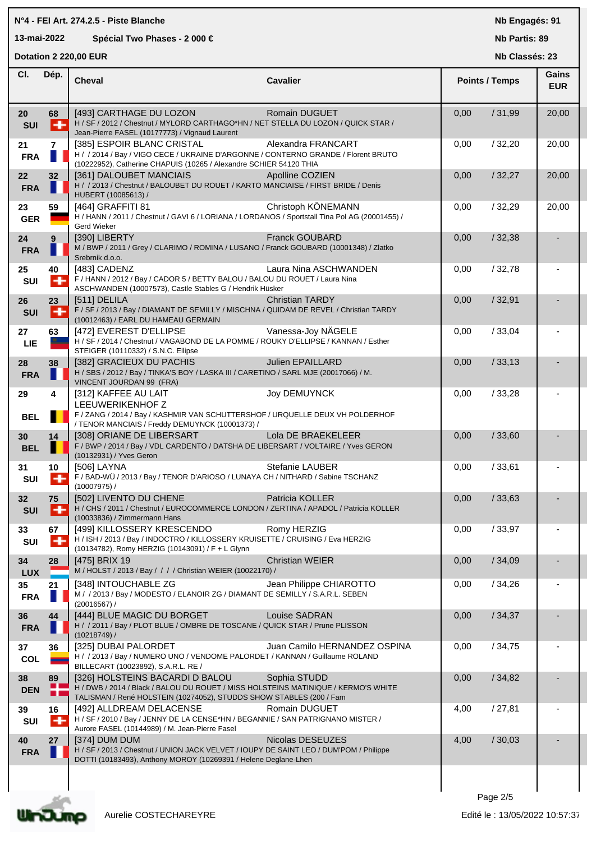# **N°4 - FEI Art. 274.2.5 - Piste Blanche Cheval Cavalier Cl. 13-mai-2022 Spécial Two Phases - 2 000 € Dotation 2 220,00 EUR Dép. SUI** H / SF / 2012 / Chestnut / MYLORD CARTHAGO\*HN / NET STELLA DU LOZON / QUICK STAR / Jean-Pierre FASEL (10177773) / Vignaud Laurent **FRA** H / / 2014 / Bay / VIGO CECE / UKRAINE D'ARGONNE / CONTERNO GRANDE / Florent BRUTO (10222952), Catherine CHAPUIS (10265 / Alexandre SCHIER 54120 THIA **FRA** H / / 2013 / Chestnut / BALOUBET DU ROUET / KARTO MANCIAISE / FIRST BRIDE / Denis HUBERT (10085613) / GER **FIGURER H** / HANN / 2011 / Chestnut / GAVI 6 / LORIANA / LORDANOS / Sportstall Tina Pol AG (20001455) / Gerd Wieker **FRA** M / BWP / 2011 / Grey / CLARIMO / ROMINA / LUSANO / Franck GOUBARD (10001348) / Zlatko Srebrnik d.o.o. **SUI** F / HANN / 2012 / Bay / CADOR 5 / BETTY BALOU / BALOU DU ROUET / Laura Nina ASCHWANDEN (10007573), Castle Stables G / Hendrik Hüsker

**Nb Engagés: 91**

**Nb Partis: 89**

**Nb Classés: 23** 

| CI.              | Dép.                 | <b>Cheval</b>                                                                                                                                                                                | <b>Cavalier</b>              |      | <b>Points / Temps</b> |       |
|------------------|----------------------|----------------------------------------------------------------------------------------------------------------------------------------------------------------------------------------------|------------------------------|------|-----------------------|-------|
| 20<br><b>SUI</b> | 68<br>÷              | [493] CARTHAGE DU LOZON<br>H / SF / 2012 / Chestnut / MYLORD CARTHAGO*HN / NET STELLA DU LOZON / QUICK STAR /<br>Jean-Pierre FASEL (10177773) / Vignaud Laurent                              | Romain DUGUET                | 0,00 | /31,99                | 20,00 |
| 21<br><b>FRA</b> | $\overline{7}$<br>H  | [385] ESPOIR BLANC CRISTAL<br>H / / 2014 / Bay / VIGO CECE / UKRAINE D'ARGONNE / CONTERNO GRANDE / Florent BRUTO<br>(10222952), Catherine CHAPUIS (10265 / Alexandre SCHIER 54120 THIA       | Alexandra FRANCART           | 0,00 | /32,20                | 20,00 |
| 22<br><b>FRA</b> | 32                   | [361] DALOUBET MANCIAIS<br>H / / 2013 / Chestnut / BALOUBET DU ROUET / KARTO MANCIAISE / FIRST BRIDE / Denis<br>HUBERT (10085613) /                                                          | Apolline COZIEN              | 0,00 | /32,27                | 20,00 |
| 23<br><b>GER</b> | 59                   | [464] GRAFFITI 81<br>H / HANN / 2011 / Chestnut / GAVI 6 / LORIANA / LORDANOS / Sportstall Tina Pol AG (20001455) /<br>Gerd Wieker                                                           | Christoph KÖNEMANN           | 0,00 | /32,29                | 20,00 |
| 24<br><b>FRA</b> | $9^{\circ}$<br>٠     | [390] LIBERTY<br>M / BWP / 2011 / Grey / CLARIMO / ROMINA / LUSANO / Franck GOUBARD (10001348) / Zlatko<br>Srebrnik d.o.o.                                                                   | <b>Franck GOUBARD</b>        | 0,00 | /32,38                |       |
| 25<br>SUI        | 40<br>٠              | [483] CADENZ<br>F / HANN / 2012 / Bay / CADOR 5 / BETTY BALOU / BALOU DU ROUET / Laura Nina<br>ASCHWANDEN (10007573), Castle Stables G / Hendrik Hüsker                                      | Laura Nina ASCHWANDEN        | 0,00 | /32,78                |       |
| 26<br><b>SUI</b> | 23<br>۰              | [511] DELILA<br>F / SF / 2013 / Bay / DIAMANT DE SEMILLY / MISCHNA / QUIDAM DE REVEL / Christian TARDY<br>(10012463) / EARL DU HAMEAU GERMAIN                                                | <b>Christian TARDY</b>       | 0,00 | /32,91                |       |
| 27<br><b>LIE</b> | 63                   | [472] EVEREST D'ELLIPSE<br>H / SF / 2014 / Chestnut / VAGABOND DE LA POMME / ROUKY D'ELLIPSE / KANNAN / Esther<br>STEIGER (10110332) / S.N.C. Ellipse                                        | Vanessa-Joy NÄGELE           | 0,00 | /33,04                |       |
| 28<br><b>FRA</b> | 38                   | [382] GRACIEUX DU PACHIS<br>H / SBS / 2012 / Bay / TINKA'S BOY / LASKA III / CARETINO / SARL MJE (20017066) / M.<br>VINCENT JOURDAN 99 (FRA)                                                 | <b>Julien EPAILLARD</b>      | 0,00 | /33,13                |       |
| 29<br><b>BEL</b> | 4                    | [312] KAFFEE AU LAIT<br>LEEUWERIKENHOF Z<br>F / ZANG / 2014 / Bay / KASHMIR VAN SCHUTTERSHOF / URQUELLE DEUX VH POLDERHOF                                                                    | Joy DEMUYNCK                 | 0,00 | /33,28                |       |
| 30<br><b>BEL</b> | 14                   | / TENOR MANCIAIS / Freddy DEMUYNCK (10001373) /<br>[308] ORIANE DE LIBERSART<br>F / BWP / 2014 / Bay / VDL CARDENTO / DATSHA DE LIBERSART / VOLTAIRE / Yves GERON<br>(10132931) / Yves Geron | Lola DE BRAEKELEER           | 0,00 | /33,60                |       |
| 31<br>SUI        | 10 <sup>°</sup><br>٠ | [506] LAYNA<br>F / BAD-WÜ / 2013 / Bay / TENOR D'ARIOSO / LUNAYA CH / NITHARD / Sabine TSCHANZ<br>$(10007975)$ /                                                                             | <b>Stefanie LAUBER</b>       | 0,00 | /33,61                |       |
| 32<br><b>SUI</b> | 75<br>٠              | [502] LIVENTO DU CHENE<br>H / CHS / 2011 / Chestnut / EUROCOMMERCE LONDON / ZERTINA / APADOL / Patricia KOLLER<br>(10033836) / Zimmermann Hans                                               | Patricia KOLLER              | 0,00 | /33,63                |       |
| 33<br>SUI        | 67<br>÷              | [499] KILLOSSERY KRESCENDO<br>H / ISH / 2013 / Bay / INDOCTRO / KILLOSSERY KRUISETTE / CRUISING / Eva HERZIG<br>(10134782), Romy HERZIG (10143091) / F + L Glynn                             | Romy HERZIG                  | 0,00 | /33,97                |       |
| 34<br><b>LUX</b> | 28                   | [475] BRIX 19<br>M / HOLST / 2013 / Bay / / / / Christian WEIER (10022170) /                                                                                                                 | <b>Christian WEIER</b>       | 0,00 | /34,09                |       |
| 35<br><b>FRA</b> | 21                   | [348] INTOUCHABLE ZG<br>M / / 2013 / Bay / MODESTO / ELANOIR ZG / DIAMANT DE SEMILLY / S.A.R.L. SEBEN<br>(20016567) /                                                                        | Jean Philippe CHIAROTTO      | 0,00 | /34,26                |       |
| 36<br><b>FRA</b> | 44                   | [444] BLUE MAGIC DU BORGET<br>H / / 2011 / Bay / PLOT BLUE / OMBRE DE TOSCANE / QUICK STAR / Prune PLISSON<br>(10218749) /                                                                   | <b>Louise SADRAN</b>         | 0,00 | /34,37                |       |
| 37<br>COL        | 36                   | <b>[325] DUBAI PALORDET</b><br>H / / 2013 / Bay / NUMERO UNO / VENDOME PALORDET / KANNAN / Guillaume ROLAND<br>BILLECART (10023892), S.A.R.L. RE /                                           | Juan Camilo HERNANDEZ OSPINA | 0,00 | /34,75                |       |
| 38<br><b>DEN</b> | 89<br>- 1<br>ш       | [326] HOLSTEINS BACARDI D BALOU<br>H / DWB / 2014 / Black / BALOU DU ROUET / MISS HOLSTEINS MATINIQUE / KERMO'S WHITE<br>TALISMAN / René HOLSTEIN (10274052), STUDDS SHOW STABLES (200 / Fam | Sophia STUDD                 | 0,00 | /34,82                |       |
| 39<br>SUI        | 16<br>۰              | [492] ALLDREAM DELACENSE<br>H / SF / 2010 / Bay / JENNY DE LA CENSE*HN / BEGANNIE / SAN PATRIGNANO MISTER /<br>Aurore FASEL (10144989) / M. Jean-Pierre Fasel                                | Romain DUGUET                | 4,00 | /27,81                |       |
| 40<br><b>FRA</b> | 27                   | [374] DUM DUM<br>H / SF / 2013 / Chestnut / UNION JACK VELVET / IOUPY DE SAINT LEO / DUM'POM / Philippe<br>DOTTI (10183493), Anthony MOROY (10269391 / Helene Deglane-Lhen                   | Nicolas DESEUZES             | 4,00 | /30,03                |       |
|                  |                      |                                                                                                                                                                                              |                              |      |                       |       |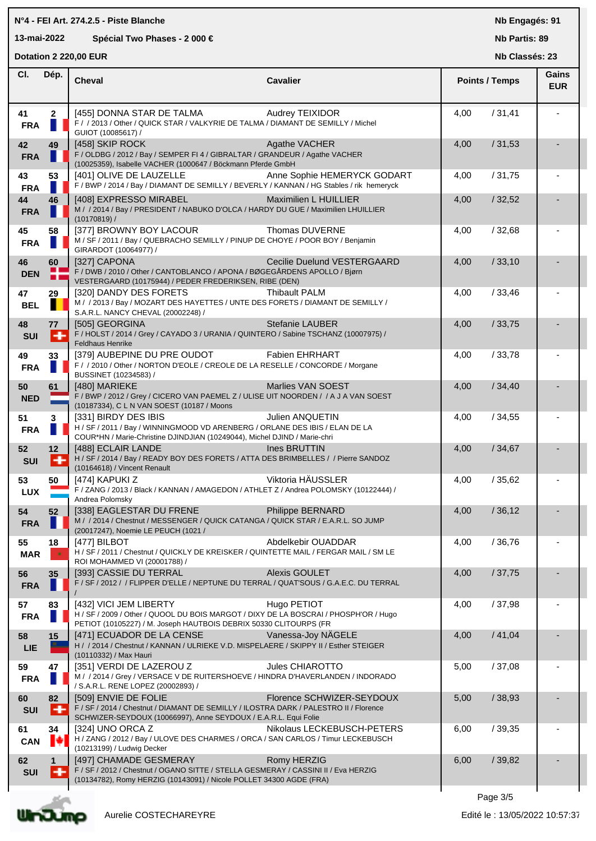### **N°4 - FEI Art. 274.2.5 - Piste Blanche**

## **13-mai-2022 Spécial Two Phases - 2 000 €**

**Nb Engagés: 91**

## **Nb Partis: 89**

**Dotation 2 220,00 EUR** 

**Nb Classés: 23** 

|                  |                   | DUIAIIUII Z ZZU,UU EUN                                                                                                                                                              |                             |      | NN UIASSES. ZJ        |                            |
|------------------|-------------------|-------------------------------------------------------------------------------------------------------------------------------------------------------------------------------------|-----------------------------|------|-----------------------|----------------------------|
| CI.              | Dép.              | <b>Cheval</b>                                                                                                                                                                       | <b>Cavalier</b>             |      | <b>Points / Temps</b> | <b>Gains</b><br><b>EUR</b> |
| 41<br><b>FRA</b> | $\mathbf{2}$<br>н | [455] DONNA STAR DE TALMA<br>F / / 2013 / Other / QUICK STAR / VALKYRIE DE TALMA / DIAMANT DE SEMILLY / Michel<br>GUIOT (10085617) /                                                | <b>Audrey TEIXIDOR</b>      | 4,00 | /31,41                |                            |
| 42<br><b>FRA</b> | 49                | [458] SKIP ROCK<br>F / OLDBG / 2012 / Bay / SEMPER FI 4 / GIBRALTAR / GRANDEUR / Agathe VACHER<br>(10025359), Isabelle VACHER (1000647 / Böckmann Pferde GmbH                       | Agathe VACHER               | 4,00 | /31,53                |                            |
| 43<br><b>FRA</b> | 53                | [401] OLIVE DE LAUZELLE<br>F / BWP / 2014 / Bay / DIAMANT DE SEMILLY / BEVERLY / KANNAN / HG Stables / rik hemeryck                                                                 | Anne Sophie HEMERYCK GODART | 4,00 | /31,75                |                            |
| 44<br><b>FRA</b> | 46                | [408] EXPRESSO MIRABEL<br>M / / 2014 / Bay / PRESIDENT / NABUKO D'OLCA / HARDY DU GUE / Maximilien LHUILLIER<br>(10170819) /                                                        | Maximilien L HUILLIER       | 4,00 | /32,52                |                            |
| 45<br><b>FRA</b> | 58                | [377] BROWNY BOY LACOUR<br>M / SF / 2011 / Bay / QUEBRACHO SEMILLY / PINUP DE CHOYE / POOR BOY / Benjamin<br>GIRARDOT (10064977) /                                                  | Thomas DUVERNE              | 4,00 | /32,68                |                            |
| 46<br><b>DEN</b> | 60<br>ō۳<br>п     | [327] CAPONA<br>F / DWB / 2010 / Other / CANTOBLANCO / APONA / BØGEGÅRDENS APOLLO / Bjørn<br>VESTERGAARD (10175944) / PEDER FREDERIKSEN, RIBE (DEN)                                 | Cecilie Duelund VESTERGAARD | 4,00 | /33,10                |                            |
| 47<br><b>BEL</b> | 29                | [320] DANDY DES FORETS<br>M / / 2013 / Bay / MOZART DES HAYETTES / UNTE DES FORETS / DIAMANT DE SEMILLY /<br>S.A.R.L. NANCY CHEVAL (20002248) /                                     | <b>Thibault PALM</b>        | 4,00 | /33,46                |                            |
| 48<br><b>SUI</b> | 77<br>⊩           | [505] GEORGINA<br>F / HOLST / 2014 / Grey / CAYADO 3 / URANIA / QUINTERO / Sabine TSCHANZ (10007975) /<br><b>Feldhaus Henrike</b>                                                   | Stefanie LAUBER             | 4,00 | /33,75                |                            |
| 49<br><b>FRA</b> | 33                | [379] AUBEPINE DU PRE OUDOT<br>F / / 2010 / Other / NORTON D'EOLE / CREOLE DE LA RESELLE / CONCORDE / Morgane<br>BUSSINET (10234583) /                                              | <b>Fabien EHRHART</b>       | 4,00 | /33,78                |                            |
| 50<br><b>NED</b> | 61                | [480] MARIEKE<br>F / BWP / 2012 / Grey / CICERO VAN PAEMEL Z / ULISE UIT NOORDEN / / A J A VAN SOEST<br>(10187334), C L N VAN SOEST (10187 / Moons                                  | Marlies VAN SOEST           | 4,00 | /34,40                |                            |
| 51<br><b>FRA</b> | 3                 | [331] BIRDY DES IBIS<br>H / SF / 2011 / Bay / WINNINGMOOD VD ARENBERG / ORLANE DES IBIS / ELAN DE LA<br>COUR*HN / Marie-Christine DJINDJIAN (10249044), Michel DJIND / Marie-chri   | Julien ANQUETIN             | 4,00 | /34,55                |                            |
| 52<br><b>SUI</b> | 12<br>H           | [488] ECLAIR LANDE<br>H / SF / 2014 / Bay / READY BOY DES FORETS / ATTA DES BRIMBELLES / / Pierre SANDOZ<br>(10164618) / Vincent Renault                                            | <b>Ines BRUTTIN</b>         | 4,00 | /34,67                |                            |
| 53<br><b>LUX</b> | 50                | [474] KAPUKI Z<br>F / ZANG / 2013 / Black / KANNAN / AMAGEDON / ATHLET Z / Andrea POLOMSKY (10122444) /<br>Andrea Polomsky                                                          | Viktoria HÄUSSLER           | 4,00 | /35,62                |                            |
| 54<br><b>FRA</b> | 52                | [338] EAGLESTAR DU FRENE<br>M / / 2014 / Chestnut / MESSENGER / QUICK CATANGA / QUICK STAR / E.A.R.L. SO JUMP<br>(20017247), Noemie LE PEUCH (1021 /                                | Philippe BERNARD            | 4,00 | /36,12                |                            |
| 55<br><b>MAR</b> | 18<br>٠           | [477] BILBOT<br>H / SF / 2011 / Chestnut / QUICKLY DE KREISKER / QUINTETTE MAIL / FERGAR MAIL / SM LE<br>ROI MOHAMMED VI (20001788) /                                               | Abdelkebir OUADDAR          | 4,00 | /36,76                |                            |
| 56<br><b>FRA</b> | 35                | [393] CASSIE DU TERRAL<br>F / SF / 2012 / / FLIPPER D'ELLE / NEPTUNE DU TERRAL / QUAT'SOUS / G.A.E.C. DU TERRAL                                                                     | <b>Alexis GOULET</b>        | 4,00 | /37,75                |                            |
| 57<br><b>FRA</b> | 83                | [432] VICI JEM LIBERTY<br>H / SF / 2009 / Other / QUOOL DU BOIS MARGOT / DIXY DE LA BOSCRAI / PHOSPH'OR / Hugo<br>PETIOT (10105227) / M. Joseph HAUTBOIS DEBRIX 50330 CLITOURPS (FR | Hugo PETIOT                 | 4,00 | /37,98                |                            |
| 58<br><b>LIE</b> | 15                | [471] ECUADOR DE LA CENSE<br>H / / 2014 / Chestnut / KANNAN / ULRIEKE V.D. MISPELAERE / SKIPPY II / Esther STEIGER<br>(10110332) / Max Hauri                                        | Vanessa-Joy NÄGELE          | 4,00 | /41,04                |                            |
| 59<br><b>FRA</b> | 47                | [351] VERDI DE LAZEROU Z<br>M / / 2014 / Grey / VERSACE V DE RUITERSHOEVE / HINDRA D'HAVERLANDEN / INDORADO<br>/ S.A.R.L. RENE LOPEZ (20002893) /                                   | Jules CHIAROTTO             | 5,00 | /37,08                |                            |
| 60<br><b>SUI</b> | 82<br>H           | [509] ENVIE DE FOLIE<br>F / SF / 2014 / Chestnut / DIAMANT DE SEMILLY / ILOSTRA DARK / PALESTRO II / Florence<br>SCHWIZER-SEYDOUX (10066997), Anne SEYDOUX / E.A.R.L. Equi Folie    | Florence SCHWIZER-SEYDOUX   | 5,00 | /38,93                |                            |
| 61<br><b>CAN</b> | 34<br>∎÷          | [324] UNO ORCA Z<br>H / ZANG / 2012 / Bay / ULOVE DES CHARMES / ORCA / SAN CARLOS / Timur LECKEBUSCH<br>(10213199) / Ludwig Decker                                                  | Nikolaus LECKEBUSCH-PETERS  | 6,00 | /39,35                |                            |
| 62<br><b>SUI</b> | ÷                 | [497] CHAMADE GESMERAY<br>F / SF / 2012 / Chestnut / OGANO SITTE / STELLA GESMERAY / CASSINI II / Eva HERZIG<br>(10134782), Romy HERZIG (10143091) / Nicole POLLET 34300 AGDE (FRA) | Romy HERZIG                 | 6,00 | /39,82                |                            |
|                  |                   |                                                                                                                                                                                     |                             |      |                       |                            |

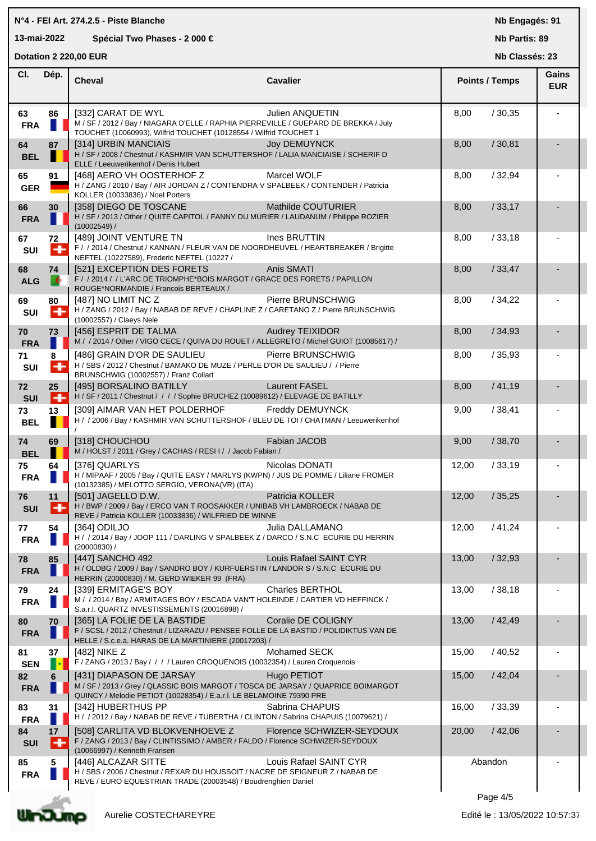#### **Cheval Cavalier Cl. Nb Partis: 89 Nb Classés: 23 Gains Points / Temps EUR Dotation 2 220,00 EUR**  Dép. | Cheval **63 86** [332] CARAT DE WYL Julien ANQUETIN 8,00 / 30,35 - **FRA** M / SF / 2012 / Bay / NIAGARA D'ELLE / RAPHIA PIERREVILLE / GUEPARD DE BREKKA / July TOUCHET (10060993), Wilfrid TOUCHET (10128554 / Wilfrid TOUCHET 1 **64 87** | [314] URBIN MANCIAIS Joy DEMUYNCK | 8,00 / 30,81 **BEL** H / SF / 2008 / Chestnut / KASHMIR VAN SCHUTTERSHOF / LALIA MANCIAISE / SCHERIF D ELLE / Leeuwerikenhof / Denis Hubert **65 91** | [468] AERO VH OOSTERHOF Z Marcel WOLF | 8,00 / 32,94 GER **GER** H / ZANG / 2010 / Bay / AIR JORDAN Z / CONTENDRA V SPALBEEK / CONTENDER / Patricia KOLLER (10033836) / Noel Porters **66 30** [358] DIEGO DE TOSCANE Mathilde COUTURIER 8,00 / 33,17 - **FRA** H / SF / 2013 / Other / QUITE CAPITOL / FANNY DU MURIER / LAUDANUM / Philippe ROZIER (10002549) / **67 72** [489] JOINT VENTURE TN Ines BRUTTIN 8,00 / 33,18 - SUI F / / 2014 / Chestnut / KANNAN / FLEUR VAN DE NOORDHEUVEL / HEARTBREAKER / Brigitte NEFTEL (10227589), Frederic NEFTEL (10227 / **68 74 [521] EXCEPTION DES FORETS** Anis SMATI **8,00 Anis SMATI** 8,00 **/ 33,47 ALG**  $\begin{bmatrix} 1 \\ 1 \end{bmatrix}$  F / / 2014 / / L'ARC DE TRIOMPHE\*BOIS MARGOT / GRACE DES FORETS / PAPILLON ROUGE\*NORMANDIE / Francois BERTEAUX / **69 80** [487] NO LIMIT NC Z Pierre BRUNSCHWIG 8,00 / 34,22 - **SUI** H / ZANG / 2012 / Bay / NABAB DE REVE / CHAPLINE Z / CARETANO Z / Pierre BRUNSCHWIG (10002557) / Claeys Nele **70 73** [456] ESPRIT DE TALMA Audrey TEIXIDOR 8,00 / 34,93 - **FRA** M / 2014 / Other / VIGO CECE / QUIVA DU ROUET / ALLEGRETO / Michel GUIOT (10085617) / **71 8** [486] GRAIN D'OR DE SAULIEU Pierre BRUNSCHWIG 8,00 / 35,93 - **SUI** H / SBS / 2012 / Chestnut / BAMAKO DE MUZE / PERLE D'OR DE SAULIEU / / Pierre BRUNSCHWIG (10002557) / Franz Collart **72 25** | [495] BORSALINO BATILLY Laurent FASEL | 8,00 / 41,19 **SUI** H / SF / 2011 / Chestnut / / / / Sophie BRUCHEZ (10089612) / ELEVAGE DE BATILLY **73 13** | [309] AIMAR VAN HET POLDERHOF Freddy DEMUYNCK | 9,00 / 38,41 **BEL**  $\begin{bmatrix} 1 & 1 \\ 1 & 2006 \end{bmatrix}$  H / / 2006 / Bay / KASHMIR VAN SCHUTTERSHOF / BLEU DE TOI / CHATMAN / Leeuwerikenhof / **74 69 | [318] CHOUCHOU <b>Fabian JACOB Fabian JACOB** | 9,00 / 38,70 **BEL M/HOLST/2011/Grey / CACHAS / RESI I / / Jacob Fabian / 75 64** [376] QUARLYS Nicolas DONATI / 33,19 - **FRA** H / MIPAAF / 2005 / Bay / QUITE EASY / MARLYS (KWPN) / JUS DE POMME / Liliane FROMER (10132385) / MELOTTO SERGIO, VERONA(VR) (ITA) **76 11** [501] JAGELLO D.W. Patricia KOLLER 12,00 / 35,25 - **SUI** H / BWP / 2009 / Bay / ERCO VAN T ROOSAKKER / UNIBAB VH LAMBROECK / NABAB DE REVE / Patricia KOLLER (10033836) / WILFRIED DE WINNE **77 54** [364] ODILJO Julia DALLAMANO 12,00 / 41,24 - **FRA**  $\blacksquare$  H / / 2014 / Bay / JOOP 111 / DARLING V SPALBEEK Z / DARCO / S.N.C ECURIE DU HERRIN (20000830) / **78 85** [447] SANCHO 492 Louis Rafael SAINT CYR 13,00 / 32,93 - **FRA**  $\blacksquare$  H / OLDBG / 2009 / Bay / SANDRO BOY / KURFUERSTIN / LANDOR S / S.N.C ECURIE DU HERRIN (20000830) / M. GERD WIEKER 99 (FRA) **79 24** [339] ERMITAGE'S BOY Charles BERTHOL 13,00 / 38,18 - **FRA** M//2014/Bay/ARMITAGES BOY/ESCADA VAN'T HOLEINDE/CARTIER VD HEFFINCK/ S.a.r.l. QUARTZ INVESTISSEMENTS (20016898) / **80 70** | [365] LA FOLIE DE LA BASTIDE CORIGNE DE COLIGNY | 13,00 / 42,49 **FRA** F / SCSL / 2012 / Chestnut / LIZARAZU / PENSEE FOLLE DE LA BASTID / POLIDIKTUS VAN DE HELLE / S.c.e.a. HARAS DE LA MARTINIERE (20017203) / **81 37** [482] NIKE Z Mohamed SECK 15,00 / 40,52 - SEN F / ZANG / 2013 / Bay / / / / Lauren CROQUENOIS (10032354) / Lauren Croquenois **82 6**  $[431]$  DIAPASON DE JARSAY Hugo PETIOT 15,00 / 42,04 **FRA** M / SF / 2013 / Grey / QLASSIC BOIS MARGOT / TOSCA DE JARSAY / QUAPRICE BOIMARGOT QUINCY / Melodie PETIOT (10028354) / E.a.r.l. LE BELAMOINE 79390 PRE **83 31** [342] HUBERTHUS PP Sabrina CHAPUIS 16,00 / 33,39 - **FRA** H / / 2012 / Bay / NABAB DE REVE / TUBERTHA / CLINTON / Sabrina CHAPUIS (10079621) / **84 17**  $\begin{bmatrix}$  [508] CARLITA VD BLOKVENHOEVE Z Florence SCHWIZER-SEYDOUX  $\begin{bmatrix} 20,00 & /42,06 \end{bmatrix}$ **SUI** F / ZANG / 2013 / Bay / CLINTISSIMO / AMBER / FALDO / Florence SCHWIZER-SEYDOUX

**85 5** [446] ALCAZAR SITTE Louis Rafael SAINT CYR Abandon -



**FRA** H / SBS / 2006 / Chestnut / REXAR DU HOUSSOIT / NACRE DE SEIGNEUR Z / NABAB DE REVE / EURO EQUESTRIAN TRADE (20003548) / Boudrenghien Daniel

(10066997) / Kenneth Fransen

**Nb Engagés: 91**

#### **N°4 - FEI Art. 274.2.5 - Piste Blanche**

#### **13-mai-2022 Spécial Two Phases - 2 000 €**